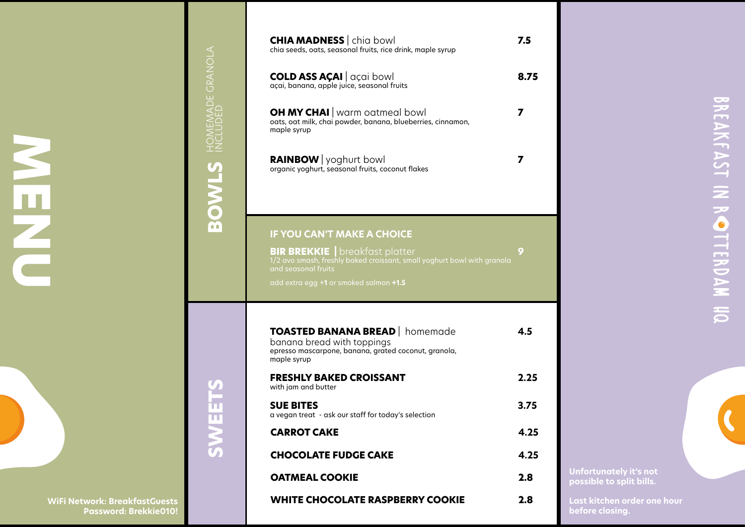| TOASTED BANANA BREAD   homemade<br>banana bread with toppings<br>epresso mascarpone, banana, grated coconut, granola,<br>maple syrup | 4.5  |
|--------------------------------------------------------------------------------------------------------------------------------------|------|
| <b>FRESHLY BAKED CROISSANT</b><br>with jam and butter                                                                                | 2.25 |
| <b>SUE BITES</b><br>a vegan treat - ask our staff for today's selection                                                              | 3.75 |
| <b>CARROT CAKE</b>                                                                                                                   | 4.25 |
| <b>CHOCOLATE FUDGE CAKE</b>                                                                                                          | 4.25 |
| <b>OATMEAL COOKIE</b>                                                                                                                | 2.8  |
| <b>WHITE CHOCOLATE RASPBERRY COOKIE</b>                                                                                              | 2.8  |

# BREAKFAST IN ROTTERDAM HQ



**SWEETS SWEETS**

**BIR BREKKIE** | breakfast platter **9** 1/2 avo smash, freshly baked croissant, small yoghurt bowl with granola and seasonal fruits

**BOWLS** HOMEMADE GRANOLA HOMEMADE GRANOLA INCLUDED

| <b>CHIA MADNESS</b>   chia bowl<br>chia seeds, oats, seasonal fruits, rice drink, maple syrup                       | 7.5  |
|---------------------------------------------------------------------------------------------------------------------|------|
| <b>COLD ASS AÇAI</b>   açai bowl<br>açai, banana, apple juice, seasonal fruits                                      | 8.75 |
| <b>OH MY CHAI</b>   warm oatmeal bowl<br>oats, oat milk, chai powder, banana, blueberries, cinnamon,<br>maple syrup |      |
| <b>RAINBOW</b>   yoghurt bowl<br>organic yoghurt, seasonal fruits, coconut flakes                                   |      |

add extra egg +**1** or smoked salmon **+1.5**

### **IF YOU CAN'T MAKE A CHOICE**

**WiFi Network: BreakfastGuests Password: Brekkie010!**

**Unfortunately it's not possible to split bills.** 

**Last kitchen order one hour before closing.**